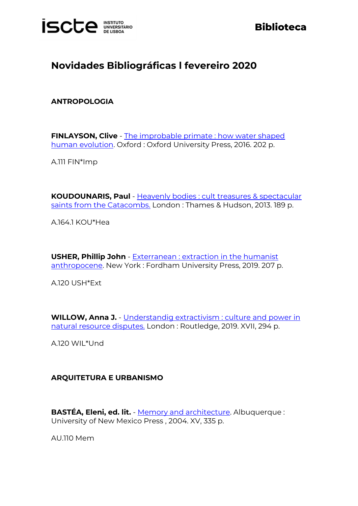

# **Biblioteca**

# **Novidades Bibliográficas l fevereiro 2020**

## **ANTROPOLOGIA**

**FINLAYSON, Clive** - [The improbable primate : how water shaped](https://catalogo.biblioteca.iscte-iul.pt/cgi-bin/koha/opac-detail.pl?biblionumber=104315)  [human evolution.](https://catalogo.biblioteca.iscte-iul.pt/cgi-bin/koha/opac-detail.pl?biblionumber=104315) Oxford : Oxford University Press, 2016. 202 p.

A.111 FIN\*Imp

**KOUDOUNARIS, Paul** - [Heavenly bodies : cult treasures & spectacular](http://catalogo.biblioteca.iscte-iul.pt/cgi-bin/koha/opac-detail.pl?biblionumber=104144)  [saints from the Catacombs.](http://catalogo.biblioteca.iscte-iul.pt/cgi-bin/koha/opac-detail.pl?biblionumber=104144) London: Thames & Hudson, 2013. 189 p.

A.164.1 KOU\*Hea

**USHER, Phillip John** - [Exterranean : extraction in the humanist](http://catalogo.biblioteca.iscte-iul.pt/cgi-bin/koha/opac-detail.pl?biblionumber=104143)  [anthropocene.](http://catalogo.biblioteca.iscte-iul.pt/cgi-bin/koha/opac-detail.pl?biblionumber=104143) New York : Fordham University Press, 2019. 207 p.

A.120 USH\*Ext

**WILLOW, Anna J.** - [Understandig extractivism : culture and power in](https://catalogo.biblioteca.iscte-iul.pt/cgi-bin/koha/opac-detail.pl?biblionumber=104238)  [natural resource disputes.](https://catalogo.biblioteca.iscte-iul.pt/cgi-bin/koha/opac-detail.pl?biblionumber=104238) London : Routledge, 2019. XVII, 294 p.

A.120 WIL\*Und

#### **ARQUITETURA E URBANISMO**

**BASTÉA, Eleni, ed. lit.** - [Memory and architecture.](http://catalogo.biblioteca.iscte-iul.pt/cgi-bin/koha/opac-detail.pl?biblionumber=104570) Albuquerque : University of New Mexico Press , 2004. XV, 335 p.

AU.110 Mem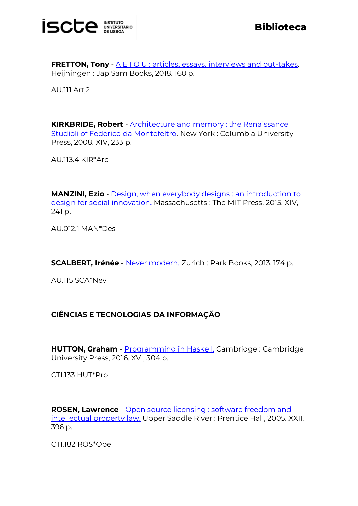

**FRETTON, Tony** - [A E I O U : articles, essays, interviews and out-takes.](http://catalogo.biblioteca.iscte-iul.pt/cgi-bin/koha/opac-detail.pl?biblionumber=104571) Heijningen : Jap Sam Books, 2018. 160 p.

AU.111 Art,2

**KIRKBRIDE, Robert** - [Architecture and memory : the Renaissance](http://catalogo.biblioteca.iscte-iul.pt/cgi-bin/koha/opac-detail.pl?biblionumber=104541)  [Studioli of Federico da Montefeltro.](http://catalogo.biblioteca.iscte-iul.pt/cgi-bin/koha/opac-detail.pl?biblionumber=104541) New York : Columbia University Press, 2008. XIV, 233 p.

AU.113.4 KIR\*Arc

**MANZINI, Ezio** - [Design, when everybody designs : an introduction to](http://catalogo.biblioteca.iscte-iul.pt/cgi-bin/koha/opac-detail.pl?biblionumber=104573)  [design for social innovation.](http://catalogo.biblioteca.iscte-iul.pt/cgi-bin/koha/opac-detail.pl?biblionumber=104573) Massachusetts : The MIT Press, 2015. XIV. 241 p.

AU.012.1 MAN\*Des

**SCALBERT, Irénée** - [Never modern.](http://catalogo.biblioteca.iscte-iul.pt/cgi-bin/koha/opac-detail.pl?biblionumber=104743) Zurich : Park Books, 2013. 174 p.

AU.115 SCA\*Nev

## **CIÊNCIAS E TECNOLOGIAS DA INFORMAÇÃO**

**HUTTON, Graham** - [Programming in Haskell.](http://catalogo.biblioteca.iscte-iul.pt/cgi-bin/koha/opac-detail.pl?biblionumber=104085) Cambridge : Cambridge University Press, 2016. XVI, 304 p.

CTI.133 HUT\*Pro

**ROSEN, Lawrence** - [Open source licensing : software freedom and](http://catalogo.biblioteca.iscte-iul.pt/cgi-bin/koha/opac-detail.pl?biblionumber=104356)  [intellectual property law.](http://catalogo.biblioteca.iscte-iul.pt/cgi-bin/koha/opac-detail.pl?biblionumber=104356) Upper Saddle River : Prentice Hall, 2005. XXII, 396 p.

CTI.182 ROS\*Ope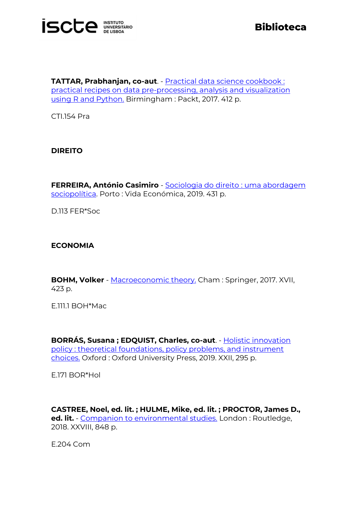

**TATTAR, Prabhanjan, co-aut**. - [Practical data science cookbook :](http://catalogo.biblioteca.iscte-iul.pt/cgi-bin/koha/opac-detail.pl?biblionumber=103983)  [practical recipes on data pre-processing, analysis and visualization](http://catalogo.biblioteca.iscte-iul.pt/cgi-bin/koha/opac-detail.pl?biblionumber=103983)  [using R and Python.](http://catalogo.biblioteca.iscte-iul.pt/cgi-bin/koha/opac-detail.pl?biblionumber=103983) Birmingham : Packt, 2017. 412 p.

CTI.154 Pra

## **DIREITO**

**FERREIRA, António Casimiro** - [Sociologia do direito : uma abordagem](http://catalogo.biblioteca.iscte-iul.pt/cgi-bin/koha/opac-detail.pl?biblionumber=105408)  [sociopolítica.](http://catalogo.biblioteca.iscte-iul.pt/cgi-bin/koha/opac-detail.pl?biblionumber=105408) Porto : Vida Económica, 2019. 431 p.

D.113 FER\*Soc

## **ECONOMIA**

**BOHM, Volker** - [Macroeconomic theory.](http://catalogo.biblioteca.iscte-iul.pt/cgi-bin/koha/opac-detail.pl?biblionumber=103524) Cham : Springer, 2017. XVII, 423 p.

E.111.1 BOH\*Mac

**BORRÁS, Susana ; EDQUIST, Charles, co-aut**. - [Holistic innovation](http://catalogo.biblioteca.iscte-iul.pt/cgi-bin/koha/opac-detail.pl?biblionumber=104134)  [policy : theoretical foundations, policy problems, and instrument](http://catalogo.biblioteca.iscte-iul.pt/cgi-bin/koha/opac-detail.pl?biblionumber=104134)  [choices.](http://catalogo.biblioteca.iscte-iul.pt/cgi-bin/koha/opac-detail.pl?biblionumber=104134) Oxford : Oxford University Press, 2019. XXII, 295 p.

E.171 BOR\*Hol

**CASTREE, Noel, ed. lit. ; HULME, Mike, ed. lit. ; PROCTOR, James D., ed. lit.** - [Companion to environmental studies.](http://catalogo.biblioteca.iscte-iul.pt/cgi-bin/koha/opac-detail.pl?biblionumber=104467) London : Routledge, 2018. XXVIII, 848 p.

E.204 Com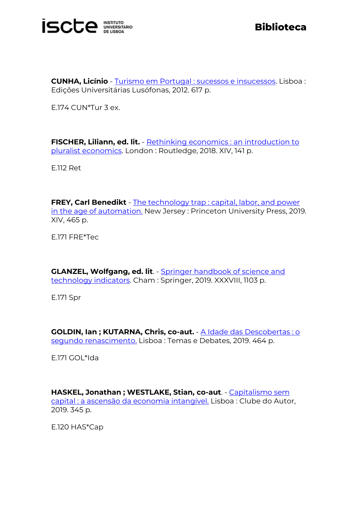

**CUNHA, Licínio** - [Turismo em Portugal : sucessos e insucessos.](http://catalogo.biblioteca.iscte-iul.pt/cgi-bin/koha/opac-detail.pl?biblionumber=104208) Lisboa : Edições Universitárias Lusófonas, 2012. 617 p.

E.174 CUN\*Tur 3 ex.

**FISCHER, Liliann, ed. lit.** - Rethinking economics : an introduction to [pluralist economics.](http://catalogo.biblioteca.iscte-iul.pt/cgi-bin/koha/opac-detail.pl?biblionumber=103724) London : Routledge, 2018. XIV, 141 p.

E.112 Ret

**FREY, Carl Benedikt** - [The technology trap : capital, labor, and power](http://catalogo.biblioteca.iscte-iul.pt/cgi-bin/koha/opac-detail.pl?biblionumber=104642)  [in the age of automation.](http://catalogo.biblioteca.iscte-iul.pt/cgi-bin/koha/opac-detail.pl?biblionumber=104642) New Jersey : Princeton University Press, 2019. XIV, 465 p.

E.171 FRE\*Tec

**GLANZEL, Wolfgang, ed. lit**. - [Springer handbook of science and](http://catalogo.biblioteca.iscte-iul.pt/cgi-bin/koha/opac-detail.pl?biblionumber=104250)  [technology](http://catalogo.biblioteca.iscte-iul.pt/cgi-bin/koha/opac-detail.pl?biblionumber=104250) indicators. Cham : Springer, 2019. XXXVIII, 1103 p.

E.171 Spr

**GOLDIN, Ian ; KUTARNA, Chris, co-aut.** - [A Idade das Descobertas : o](http://catalogo.biblioteca.iscte-iul.pt/cgi-bin/koha/opac-detail.pl?biblionumber=103925)  [segundo renascimento.](http://catalogo.biblioteca.iscte-iul.pt/cgi-bin/koha/opac-detail.pl?biblionumber=103925) Lisboa : Temas e Debates, 2019. 464 p.

E.171 GOL\*Ida

**HASKEL, Jonathan ; WESTLAKE, Stian, co-aut**. - [Capitalismo sem](http://catalogo.biblioteca.iscte-iul.pt/cgi-bin/koha/opac-detail.pl?biblionumber=103918)  [capital : a ascensão da economia intangível.](http://catalogo.biblioteca.iscte-iul.pt/cgi-bin/koha/opac-detail.pl?biblionumber=103918) Lisboa : Clube do Autor, 2019. 345 p.

E.120 HAS\*Cap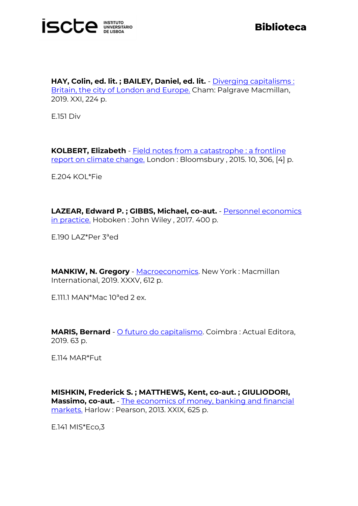

**HAY, Colin, ed. lit. ; BAILEY, Daniel, ed. lit.** - [Diverging capitalisms :](http://catalogo.biblioteca.iscte-iul.pt/cgi-bin/koha/opac-detail.pl?biblionumber=104031)  [Britain, the city of London and Europe.](http://catalogo.biblioteca.iscte-iul.pt/cgi-bin/koha/opac-detail.pl?biblionumber=104031) Cham: Palgrave Macmillan, 2019. XXI, 224 p.

E.151 Div

**KOLBERT, Elizabeth** - [Field notes from a catastrophe : a frontline](http://catalogo.biblioteca.iscte-iul.pt/cgi-bin/koha/opac-detail.pl?biblionumber=104077)  [report on climate change.](http://catalogo.biblioteca.iscte-iul.pt/cgi-bin/koha/opac-detail.pl?biblionumber=104077) London : Bloomsbury , 2015. 10, 306, [4] p.

E.204 KOL\*Fie

**LAZEAR, Edward P. ; GIBBS, Michael, co-aut.** - [Personnel economics](http://catalogo.biblioteca.iscte-iul.pt/cgi-bin/koha/opac-detail.pl?biblionumber=104313)  [in practice.](http://catalogo.biblioteca.iscte-iul.pt/cgi-bin/koha/opac-detail.pl?biblionumber=104313) Hoboken : John Wiley, 2017. 400 p.

E.190 LAZ\*Per 3ªed

**MANKIW, N. Gregory** - [Macroeconomics.](http://catalogo.biblioteca.iscte-iul.pt/cgi-bin/koha/opac-detail.pl?biblionumber=104532) New York : Macmillan International, 2019. XXXV, 612 p.

E.111.1 MAN\*Mac 10ªed 2 ex.

**MARIS, Bernard** - [O futuro do capitalismo.](http://catalogo.biblioteca.iscte-iul.pt/cgi-bin/koha/opac-detail.pl?biblionumber=103915) Coimbra : Actual Editora, 2019. 63 p.

E.114 MAR\*Fut

**MISHKIN, Frederick S. ; MATTHEWS, Kent, co-aut. ; GIULIODORI, Massimo, co-aut.** - [The economics of money, banking and financial](http://catalogo.biblioteca.iscte-iul.pt/cgi-bin/koha/opac-detail.pl?biblionumber=104076)  [markets.](http://catalogo.biblioteca.iscte-iul.pt/cgi-bin/koha/opac-detail.pl?biblionumber=104076) Harlow : Pearson, 2013. XXIX, 625 p.

E.141 MIS\*Eco,3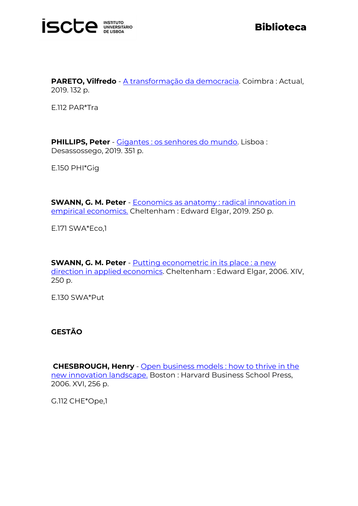

**PARETO, Vilfredo** - [A transformação da democracia.](http://catalogo.biblioteca.iscte-iul.pt/cgi-bin/koha/opac-detail.pl?biblionumber=103914) Coimbra : Actual, 2019. 132 p.

E.112 PAR\*Tra

**PHILLIPS, Peter** - [Gigantes : os senhores do mundo.](http://catalogo.biblioteca.iscte-iul.pt/cgi-bin/koha/opac-detail.pl?biblionumber=105424) Lisboa : Desassossego, 2019. 351 p.

E.150 PHI\*Gig

**SWANN, G. M. Peter** - **Economics as anatomy: radical innovation in** [empirical economics.](http://catalogo.biblioteca.iscte-iul.pt/cgi-bin/koha/opac-detail.pl?biblionumber=104139) Cheltenham : Edward Elgar, 2019. 250 p.

E.171 SWA\*Eco,1

**SWANN, G. M. Peter** - [Putting econometric in its place : a new](http://catalogo.biblioteca.iscte-iul.pt/cgi-bin/koha/opac-detail.pl?biblionumber=104568)  [direction in applied economics.](http://catalogo.biblioteca.iscte-iul.pt/cgi-bin/koha/opac-detail.pl?biblionumber=104568) Cheltenham : Edward Elgar, 2006. XIV, 250 p.

E.130 SWA\*Put

**GESTÃO**

**CHESBROUGH, Henry** - [Open business models : how to thrive in the](http://catalogo.biblioteca.iscte-iul.pt/cgi-bin/koha/opac-detail.pl?biblionumber=104355)  [new innovation landscape.](http://catalogo.biblioteca.iscte-iul.pt/cgi-bin/koha/opac-detail.pl?biblionumber=104355) Boston : Harvard Business School Press, 2006. XVI, 256 p.

G.112 CHE\*Ope,1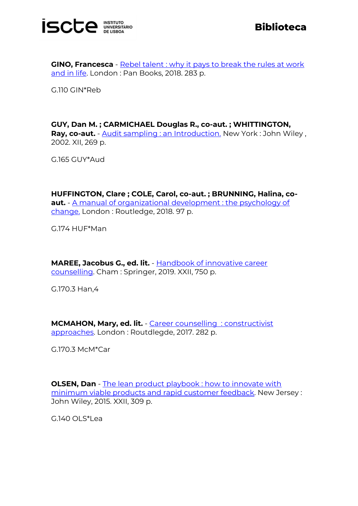

**GINO, Francesca** - [Rebel talent : why it pays to break the rules at work](http://catalogo.biblioteca.iscte-iul.pt/cgi-bin/koha/opac-detail.pl?biblionumber=104105)  [and in life.](http://catalogo.biblioteca.iscte-iul.pt/cgi-bin/koha/opac-detail.pl?biblionumber=104105) London : Pan Books, 2018. 283 p.

G.110 GIN\*Reb

**GUY, Dan M. ; CARMICHAEL Douglas R., co-aut. ; WHITTINGTON, Ray, co-aut.** - **Audit sampling : an Introduction**. New York : John Wiley, 2002. XII, 269 p.

G.165 GUY\*Aud

**HUFFINGTON, Clare ; COLE, Carol, co-aut. ; BRUNNING, Halina, coaut.** - [A manual of organizational development : the psychology of](http://catalogo.biblioteca.iscte-iul.pt/cgi-bin/koha/opac-detail.pl?biblionumber=104249)  [change.](http://catalogo.biblioteca.iscte-iul.pt/cgi-bin/koha/opac-detail.pl?biblionumber=104249) London : Routledge, 2018. 97 p.

G.174 HUF\*Man

**MAREE, Jacobus G., ed. lit.** - [Handbook of innovative career](http://catalogo.biblioteca.iscte-iul.pt/cgi-bin/koha/opac-detail.pl?biblionumber=104188)  [counselling.](http://catalogo.biblioteca.iscte-iul.pt/cgi-bin/koha/opac-detail.pl?biblionumber=104188) Cham : Springer, 2019. XXII, 750 p.

G.170.3 Han,4

**MCMAHON, Mary, ed. lit.** - [Career counselling](http://catalogo.biblioteca.iscte-iul.pt/cgi-bin/koha/opac-detail.pl?biblionumber=104104) : constructivist [approaches.](http://catalogo.biblioteca.iscte-iul.pt/cgi-bin/koha/opac-detail.pl?biblionumber=104104) London : Routdlegde, 2017. 282 p.

G.170.3 McM\*Car

**OLSEN, Dan** - The lean product playbook : how to innovate with [minimum viable products and rapid customer feedback.](http://catalogo.biblioteca.iscte-iul.pt/cgi-bin/koha/opac-detail.pl?biblionumber=104454) New Jersey : John Wiley, 2015. XXII, 309 p.

G.140 OLS\*Lea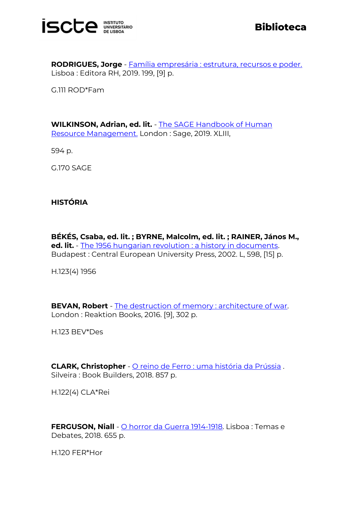

**RODRIGUES, Jorge** - [Família empresária : estrutura, recursos e poder.](http://catalogo.biblioteca.iscte-iul.pt/cgi-bin/koha/opac-detail.pl?biblionumber=104433) Lisboa : Editora RH, 2019. 199, [9] p.

G.111 ROD\*Fam

**WILKINSON, Adrian, ed. lit.** - [The SAGE Handbook of Human](http://catalogo.biblioteca.iscte-iul.pt/cgi-bin/koha/opac-detail.pl?biblionumber=104113)  [Resource Management.](http://catalogo.biblioteca.iscte-iul.pt/cgi-bin/koha/opac-detail.pl?biblionumber=104113) London : Sage, 2019. XLIII,

594 p.

G.170 SAGE

## **HISTÓRIA**

**BÉKÉS, Csaba, ed. lit. ; BYRNE, Malcolm, ed. lit. ; RAINER, János M., ed. lit.** - [The 1956 hungarian revolution : a history in documents.](http://catalogo.biblioteca.iscte-iul.pt/cgi-bin/koha/opac-detail.pl?biblionumber=104561) Budapest : Central European University Press, 2002. L, 598, [15] p.

H.123(4) 1956

**BEVAN, Robert** - [The destruction of memory : architecture of war.](http://catalogo.biblioteca.iscte-iul.pt/cgi-bin/koha/opac-detail.pl?biblionumber=104542) London : Reaktion Books, 2016. [9], 302 p.

H.123 BEV\*Des

**CLARK, Christopher** - [O reino de Ferro : uma história da Prússia](http://catalogo.biblioteca.iscte-iul.pt/cgi-bin/koha/opac-detail.pl?biblionumber=104644) . Silveira : Book Builders, 2018. 857 p.

H.122(4) CLA\*Rei

**FERGUSON, Niall** - [O horror da Guerra 1914-1918.](http://catalogo.biblioteca.iscte-iul.pt/cgi-bin/koha/opac-detail.pl?biblionumber=105306) Lisboa : Temas e Debates, 2018. 655 p.

H.120 FER\*Hor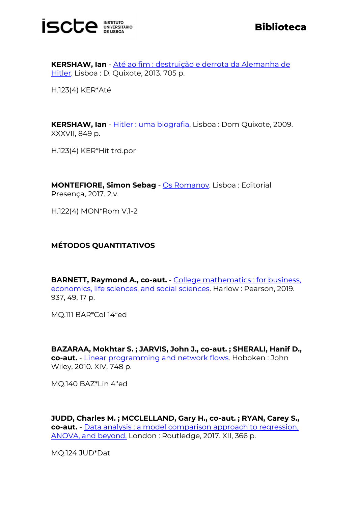

**KERSHAW, Ian** - [Até ao fim : destruição e derrota da Alemanha de](http://catalogo.biblioteca.iscte-iul.pt/cgi-bin/koha/opac-detail.pl?biblionumber=105406)  [Hitler.](http://catalogo.biblioteca.iscte-iul.pt/cgi-bin/koha/opac-detail.pl?biblionumber=105406) Lisboa : D. Quixote, 2013. 705 p.

H.123(4) KER\*Até

**KERSHAW, Ian** - [Hitler : uma biografia.](http://catalogo.biblioteca.iscte-iul.pt/cgi-bin/koha/opac-detail.pl?biblionumber=105404) Lisboa : Dom Quixote, 2009. XXXVII, 849 p.

H.123(4) KER\*Hit trd.por

**MONTEFIORE, Simon Sebag** - [Os Romanov.](http://catalogo.biblioteca.iscte-iul.pt/cgi-bin/koha/opac-detail.pl?biblionumber=104429) Lisboa : Editorial Presença, 2017. 2 v.

H.122(4) MON\*Rom V.1-2

## **MÉTODOS QUANTITATIVOS**

**BARNETT, Raymond A., co-aut.** - [College mathematics : for business,](http://catalogo.biblioteca.iscte-iul.pt/cgi-bin/koha/opac-detail.pl?biblionumber=104067)  [economics, life sciences, and social sciences.](http://catalogo.biblioteca.iscte-iul.pt/cgi-bin/koha/opac-detail.pl?biblionumber=104067) Harlow : Pearson, 2019. 937, 49, 17 p.

MQ.111 BAR\*Col 14ªed

**BAZARAA, Mokhtar S. ; JARVIS, John J., co-aut. ; SHERALI, Hanif D., co-aut.** - [Linear programming and network flows.](http://catalogo.biblioteca.iscte-iul.pt/cgi-bin/koha/opac-detail.pl?biblionumber=104011) Hoboken : John Wiley, 2010. XIV, 748 p.

MQ.140 BAZ\*Lin 4ªed

**JUDD, Charles M. ; MCCLELLAND, Gary H., co-aut. ; RYAN, Carey S., co-aut.** - [Data analysis : a model comparison approach to regression,](http://catalogo.biblioteca.iscte-iul.pt/cgi-bin/koha/opac-detail.pl?biblionumber=104239)  [ANOVA, and beyond.](http://catalogo.biblioteca.iscte-iul.pt/cgi-bin/koha/opac-detail.pl?biblionumber=104239) London : Routledge, 2017. XII, 366 p.

MQ.124 JUD\*Dat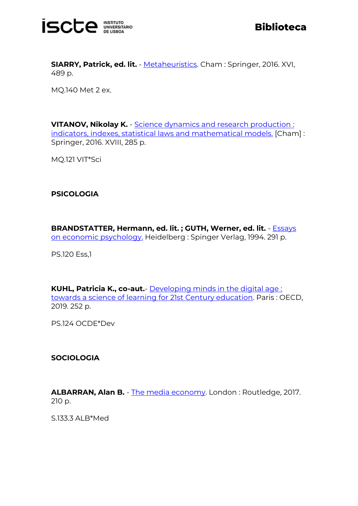

**SIARRY, Patrick, ed. lit.** - [Metaheuristics.](http://catalogo.biblioteca.iscte-iul.pt/cgi-bin/koha/opac-detail.pl?biblionumber=104236) Cham : Springer, 2016. XVI, 489 p.

MQ.140 Met 2 ex.

**VITANOV, Nikolay K.** - Science dynamics and research production: [indicators, indexes, statistical laws and mathematical models.](http://catalogo.biblioteca.iscte-iul.pt/cgi-bin/koha/opac-detail.pl?biblionumber=103479) [Cham] : Springer, 2016. XVIII, 285 p.

MQ.121 VIT\*Sci

## **PSICOLOGIA**

**BRANDSTATTER, Hermann, ed. lit. ; GUTH, Werner, ed. lit.** - [Essays](http://catalogo.biblioteca.iscte-iul.pt/cgi-bin/koha/opac-detail.pl?biblionumber=103477)  [on economic psychology.](http://catalogo.biblioteca.iscte-iul.pt/cgi-bin/koha/opac-detail.pl?biblionumber=103477) Heidelberg : Spinger Verlag, 1994. 291 p.

PS.120 Ess,1

**KUHL, Patricia K., co-aut.**- [Developing minds in the digital age :](http://catalogo.biblioteca.iscte-iul.pt/cgi-bin/koha/opac-detail.pl?biblionumber=104314)  [towards a science of learning for 21st Century education.](http://catalogo.biblioteca.iscte-iul.pt/cgi-bin/koha/opac-detail.pl?biblionumber=104314) Paris : OECD, 2019. 252 p.

PS.124 OCDE\*Dev

#### **SOCIOLOGIA**

**ALBARRAN, Alan B.** - [The media economy.](http://catalogo.biblioteca.iscte-iul.pt/cgi-bin/koha/opac-detail.pl?biblionumber=104106) London : Routledge, 2017. 210 p.

S.133.3 ALB\*Med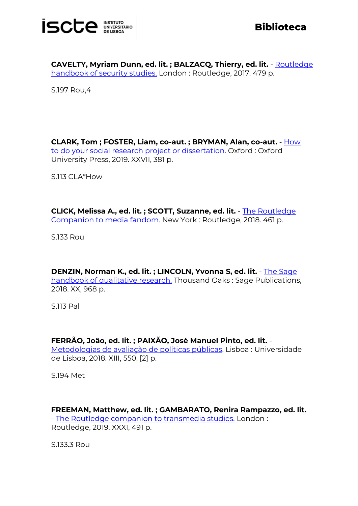

**CAVELTY, Myriam Dunn, ed. lit. ; BALZACQ, Thierry, ed. lit.** - [Routledge](http://catalogo.biblioteca.iscte-iul.pt/cgi-bin/koha/opac-detail.pl?biblionumber=104137)  [handbook of security studies.](http://catalogo.biblioteca.iscte-iul.pt/cgi-bin/koha/opac-detail.pl?biblionumber=104137) London: Routledge, 2017. 479 p.

S.197 Rou,4

**CLARK, Tom ; FOSTER, Liam, co-aut. ; BRYMAN, Alan, co-aut.** - [How](http://catalogo.biblioteca.iscte-iul.pt/cgi-bin/koha/opac-detail.pl?biblionumber=104639)  [to do your social research project or dissertation.](http://catalogo.biblioteca.iscte-iul.pt/cgi-bin/koha/opac-detail.pl?biblionumber=104639) Oxford : Oxford University Press, 2019. XXVII, 381 p.

S.113 CLA\*How

**CLICK, Melissa A., ed. lit. ; SCOTT, Suzanne, ed. lit.** - [The Routledge](http://catalogo.biblioteca.iscte-iul.pt/cgi-bin/koha/opac-detail.pl?biblionumber=104112)  [Companion to media fandom.](http://catalogo.biblioteca.iscte-iul.pt/cgi-bin/koha/opac-detail.pl?biblionumber=104112) New York : Routledge, 2018. 461 p.

S.133 Rou

**DENZIN, Norman K., ed. lit. ; LINCOLN, Yvonna S, ed. lit.** - [The Sage](http://catalogo.biblioteca.iscte-iul.pt/cgi-bin/koha/opac-detail.pl?biblionumber=104037)  [handbook of qualitative research.](http://catalogo.biblioteca.iscte-iul.pt/cgi-bin/koha/opac-detail.pl?biblionumber=104037) Thousand Oaks: Sage Publications, 2018. XX, 968 p.

S.113 Pal

#### **FERRÃO, João, ed. lit. ; PAIXÃO, José Manuel Pinto, ed. lit.** -

[Metodologias de avaliação de políticas públicas.](http://catalogo.biblioteca.iscte-iul.pt/cgi-bin/koha/opac-detail.pl?biblionumber=105309) Lisboa : Universidade de Lisboa, 2018. XIII, 550, [2] p.

S.194 Met

## **FREEMAN, Matthew, ed. lit. ; GAMBARATO, Renira Rampazzo, ed. lit.**

- [The Routledge companion to transmedia studies.](http://catalogo.biblioteca.iscte-iul.pt/cgi-bin/koha/opac-detail.pl?biblionumber=104110) London : Routledge, 2019. XXXI, 491 p.

S.133.3 Rou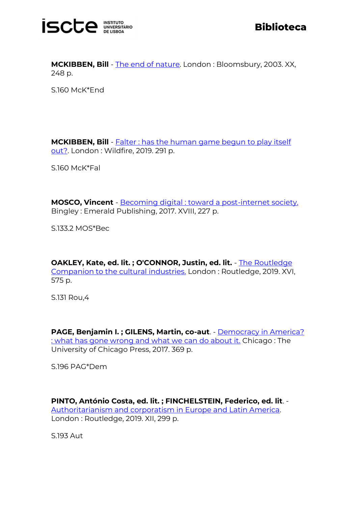

**MCKIBBEN, Bill** - [The end of nature.](http://catalogo.biblioteca.iscte-iul.pt/cgi-bin/koha/opac-detail.pl?biblionumber=104636) London : Bloomsbury, 2003. XX, 248 p.

S.160 McK\*End

**MCKIBBEN, Bill** - **Falter : has the human game begun to play itself** [out?.](http://catalogo.biblioteca.iscte-iul.pt/cgi-bin/koha/opac-detail.pl?biblionumber=104569) London : Wildfire, 2019. 291 p.

S.160 McK\*Fal

**MOSCO, Vincent** - [Becoming digital : toward a post-internet society.](http://catalogo.biblioteca.iscte-iul.pt/cgi-bin/koha/opac-detail.pl?biblionumber=104572) Bingley : Emerald Publishing, 2017. XVIII, 227 p.

S.133.2 MOS\*Bec

**OAKLEY, Kate, ed. lit. ; O'CONNOR, Justin, ed. lit.** - The Routledge [Companion to the cultural industries.](http://catalogo.biblioteca.iscte-iul.pt/cgi-bin/koha/opac-detail.pl?biblionumber=104114) London : Routledge, 2019. XVI, 575 p.

S.131 Rou,4

**PAGE, Benjamin I. ; GILENS, Martin, co-aut**. - [Democracy in America?](http://catalogo.biblioteca.iscte-iul.pt/cgi-bin/koha/opac-detail.pl?biblionumber=104994)  [: what has gone wrong and what we can do about it.](http://catalogo.biblioteca.iscte-iul.pt/cgi-bin/koha/opac-detail.pl?biblionumber=104994) Chicago : The University of Chicago Press, 2017. 369 p.

S.196 PAG\*Dem

**PINTO, António Costa, ed. lit. ; FINCHELSTEIN, Federico, ed. lit**. - [Authoritarianism and corporatism in Europe and Latin America.](http://catalogo.biblioteca.iscte-iul.pt/cgi-bin/koha/opac-detail.pl?biblionumber=104470)  London : Routledge, 2019. XII, 299 p.

S.193 Aut